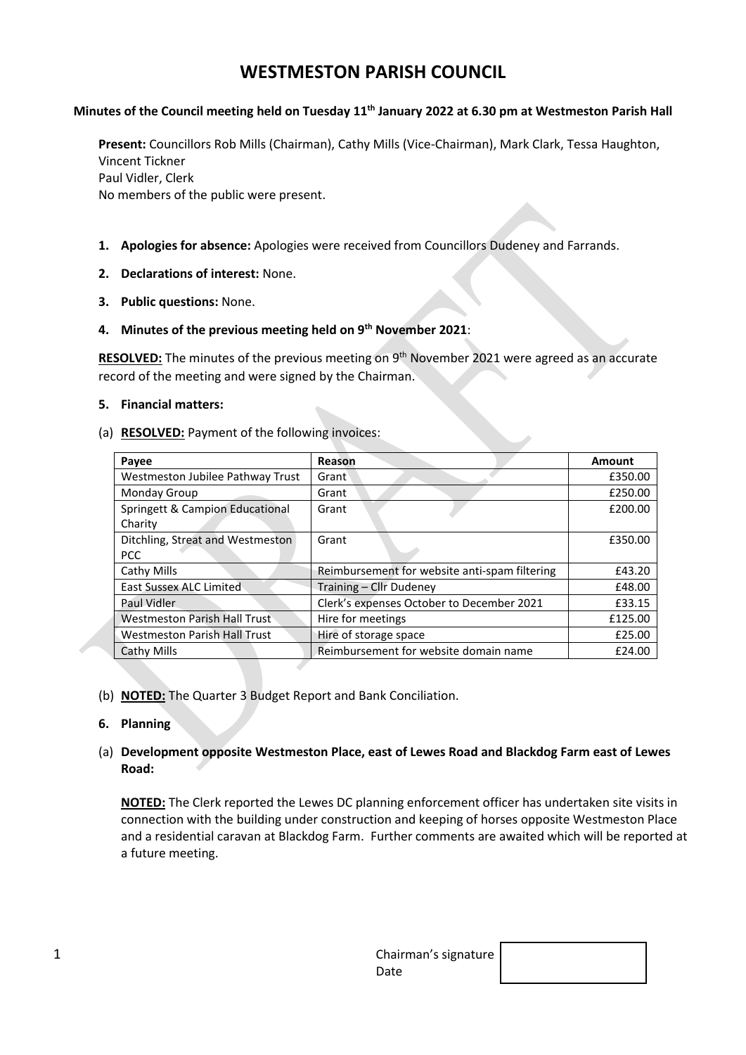# **WESTMESTON PARISH COUNCIL**

### **Minutes of the Council meeting held on Tuesday 11th January 2022 at 6.30 pm at Westmeston Parish Hall**

**Present:** Councillors Rob Mills (Chairman), Cathy Mills (Vice-Chairman), Mark Clark, Tessa Haughton, Vincent Tickner Paul Vidler, Clerk No members of the public were present.

- **1. Apologies for absence:** Apologies were received from Councillors Dudeney and Farrands.
- **2. Declarations of interest:** None.
- **3. Public questions:** None.
- **4. Minutes of the previous meeting held on 9 th November 2021**:

RESOLVED: The minutes of the previous meeting on 9<sup>th</sup> November 2021 were agreed as an accurate record of the meeting and were signed by the Chairman.

### **5. Financial matters:**

(a) **RESOLVED:** Payment of the following invoices:

| Payee                               | Reason                                        | Amount  |
|-------------------------------------|-----------------------------------------------|---------|
| Westmeston Jubilee Pathway Trust    | Grant                                         | £350.00 |
| <b>Monday Group</b>                 | Grant                                         | £250.00 |
| Springett & Campion Educational     | Grant                                         | £200.00 |
| Charity                             |                                               |         |
| Ditchling, Streat and Westmeston    | Grant                                         | £350.00 |
| PCC                                 |                                               |         |
| Cathy Mills                         | Reimbursement for website anti-spam filtering | £43.20  |
| <b>East Sussex ALC Limited</b>      | Training - Cllr Dudeney                       | £48.00  |
| Paul Vidler                         | Clerk's expenses October to December 2021     | £33.15  |
| <b>Westmeston Parish Hall Trust</b> | Hire for meetings                             | £125.00 |
| <b>Westmeston Parish Hall Trust</b> | Hire of storage space                         | £25.00  |
| Cathy Mills                         | Reimbursement for website domain name         | £24.00  |

(b) **NOTED:** The Quarter 3 Budget Report and Bank Conciliation.

# **6. Planning**

### (a) **Development opposite Westmeston Place, east of Lewes Road and Blackdog Farm east of Lewes Road:**

**NOTED:** The Clerk reported the Lewes DC planning enforcement officer has undertaken site visits in connection with the building under construction and keeping of horses opposite Westmeston Place and a residential caravan at Blackdog Farm. Further comments are awaited which will be reported at a future meeting.

| Chairman's signature $\vert$ |  |
|------------------------------|--|
| Date                         |  |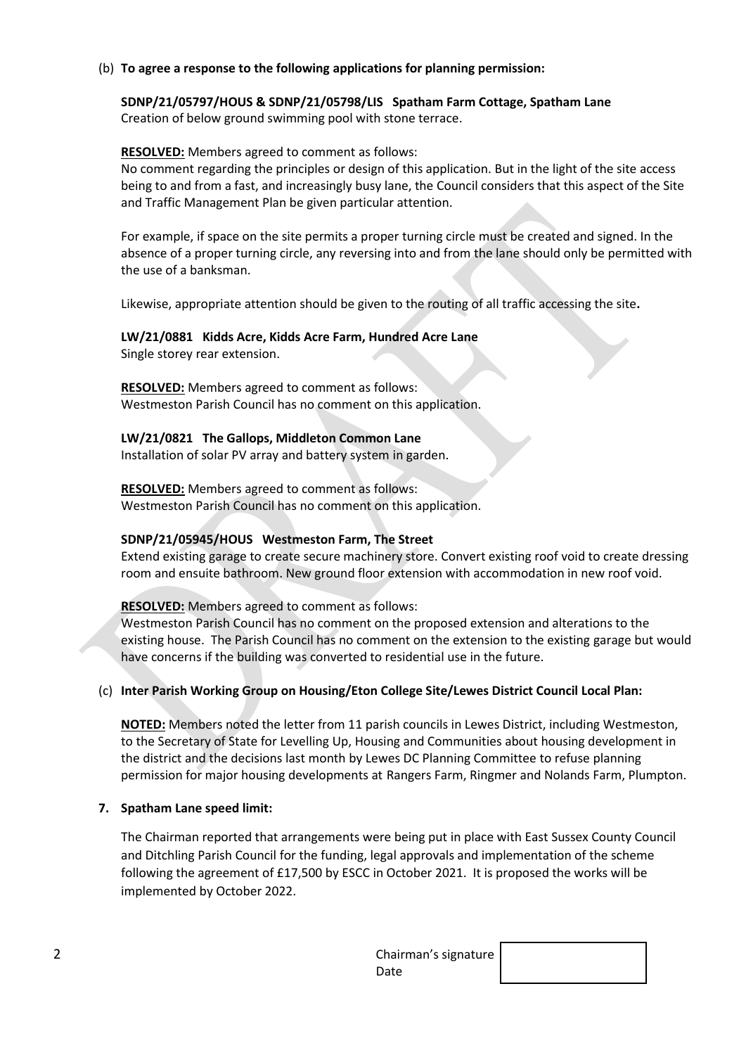### (b) **To agree a response to the following applications for planning permission:**

# **SDNP/21/05797/HOUS & SDNP/21/05798/LIS Spatham Farm Cottage, Spatham Lane**

Creation of below ground swimming pool with stone terrace.

# **RESOLVED:** Members agreed to comment as follows:

No comment regarding the principles or design of this application. But in the light of the site access being to and from a fast, and increasingly busy lane, the Council considers that this aspect of the Site and Traffic Management Plan be given particular attention.

For example, if space on the site permits a proper turning circle must be created and signed. In the absence of a proper turning circle, any reversing into and from the lane should only be permitted with the use of a banksman.

Likewise, appropriate attention should be given to the routing of all traffic accessing the site**.**

### **LW/21/0881 Kidds Acre, Kidds Acre Farm, Hundred Acre Lane** Single storey rear extension.

**RESOLVED:** Members agreed to comment as follows: Westmeston Parish Council has no comment on this application.

**LW/21/0821 The Gallops, Middleton Common Lane** Installation of solar PV array and battery system in garden.

**RESOLVED:** Members agreed to comment as follows: Westmeston Parish Council has no comment on this application.

# **SDNP/21/05945/HOUS Westmeston Farm, The Street**

Extend existing garage to create secure machinery store. Convert existing roof void to create dressing room and ensuite bathroom. New ground floor extension with accommodation in new roof void.

# **RESOLVED:** Members agreed to comment as follows:

Westmeston Parish Council has no comment on the proposed extension and alterations to the existing house. The Parish Council has no comment on the extension to the existing garage but would have concerns if the building was converted to residential use in the future.

# (c) **Inter Parish Working Group on Housing/Eton College Site/Lewes District Council Local Plan:**

**NOTED:** Members noted the letter from 11 parish councils in Lewes District, including Westmeston, to the Secretary of State for Levelling Up, Housing and Communities about housing development in the district and the decisions last month by Lewes DC Planning Committee to refuse planning permission for major housing developments at Rangers Farm, Ringmer and Nolands Farm, Plumpton.

# **7. Spatham Lane speed limit:**

The Chairman reported that arrangements were being put in place with East Sussex County Council and Ditchling Parish Council for the funding, legal approvals and implementation of the scheme following the agreement of £17,500 by ESCC in October 2021. It is proposed the works will be implemented by October 2022.

| $\sim$<br>∠ | Chairman's signature |  |
|-------------|----------------------|--|
|             | Date                 |  |